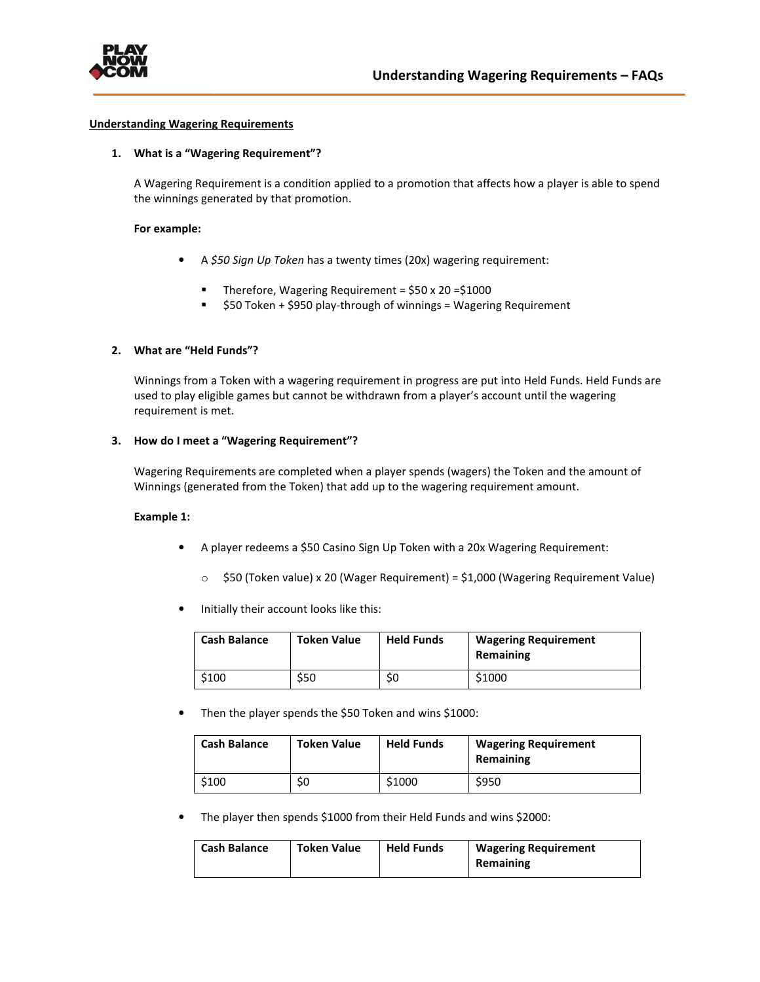

#### **Understanding Wagering Requirements**

## **1. What is a "Wagering Requirement"?**

A Wagering Requirement is a condition applied to a promotion that affects how a player is able to spend the winnings generated by that promotion.

#### **For example:**

- A *\$50 Sign Up Token* has a twenty times (20x) wagering requirement:
	- Therefore, Wagering Requirement =  $$50 \times 20 = $1000$
	- \$50 Token + \$950 play-through of winnings = Wagering Requirement

### **2. What are "Held Funds"?**

Winnings from a Token with a wagering requirement in progress are put into Held Funds. Held Funds are used to play eligible games but cannot be withdrawn from a player's account until the wagering requirement is met.

#### **3. How do I meet a "Wagering Requirement"?**

Wagering Requirements are completed when a player spends (wagers) the Token and the amount of Winnings (generated from the Token) that add up to the wagering requirement amount.

#### **Example 1:**

- A player redeems a \$50 Casino Sign Up Token with a 20x Wagering Requirement:
	- $\circ$  \$50 (Token value) x 20 (Wager Requirement) = \$1,000 (Wagering Requirement Value)
- Initially their account looks like this:

| <b>Cash Balance</b> | <b>Token Value</b> | <b>Held Funds</b> | <b>Wagering Requirement</b><br>Remaining |
|---------------------|--------------------|-------------------|------------------------------------------|
| \$100               | S50                | S0                | \$1000                                   |

Then the player spends the \$50 Token and wins \$1000:

| <b>Cash Balance</b> | <b>Token Value</b> | <b>Held Funds</b> | <b>Wagering Requirement</b><br>Remaining |
|---------------------|--------------------|-------------------|------------------------------------------|
| \$100               | \$0                | \$1000            | \$950                                    |

• The player then spends \$1000 from their Held Funds and wins \$2000:

| Cash Balance | <b>Token Value</b> | <b>Held Funds</b> | <b>Wagering Requirement</b> |
|--------------|--------------------|-------------------|-----------------------------|
|              |                    |                   | Remaining                   |